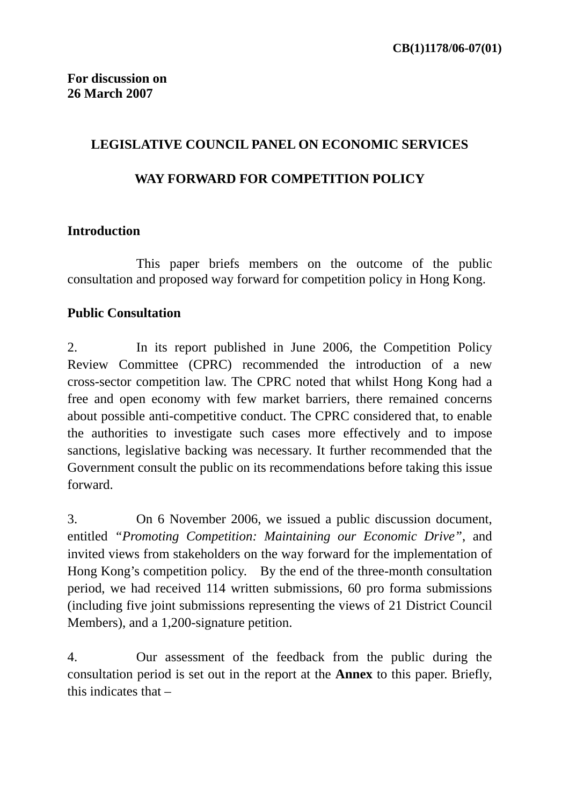## **LEGISLATIVE COUNCIL PANEL ON ECONOMIC SERVICES**

## **WAY FORWARD FOR COMPETITION POLICY**

# **Introduction**

This paper briefs members on the outcome of the public consultation and proposed way forward for competition policy in Hong Kong.

# **Public Consultation**

2. In its report published in June 2006, the Competition Policy Review Committee (CPRC) recommended the introduction of a new cross-sector competition law. The CPRC noted that whilst Hong Kong had a free and open economy with few market barriers, there remained concerns about possible anti-competitive conduct. The CPRC considered that, to enable the authorities to investigate such cases more effectively and to impose sanctions, legislative backing was necessary. It further recommended that the Government consult the public on its recommendations before taking this issue forward.

3. On 6 November 2006, we issued a public discussion document, entitled *"Promoting Competition: Maintaining our Economic Drive"*, and invited views from stakeholders on the way forward for the implementation of Hong Kong's competition policy. By the end of the three-month consultation period, we had received 114 written submissions, 60 pro forma submissions (including five joint submissions representing the views of 21 District Council Members), and a 1,200-signature petition.

4. Our assessment of the feedback from the public during the consultation period is set out in the report at the **Annex** to this paper. Briefly, this indicates that –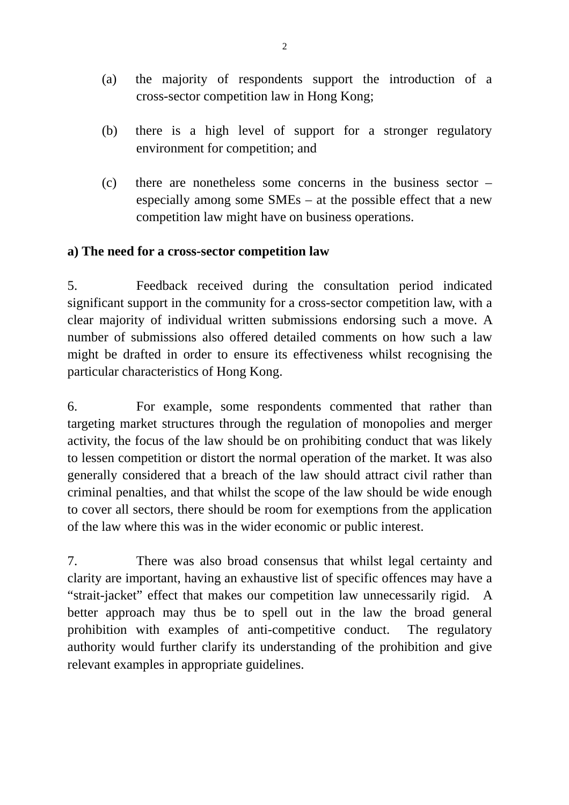- (a) the majority of respondents support the introduction of a cross-sector competition law in Hong Kong;
- (b) there is a high level of support for a stronger regulatory environment for competition; and
- (c) there are nonetheless some concerns in the business sector especially among some SMEs – at the possible effect that a new competition law might have on business operations.

## **a) The need for a cross-sector competition law**

5. Feedback received during the consultation period indicated significant support in the community for a cross-sector competition law, with a clear majority of individual written submissions endorsing such a move. A number of submissions also offered detailed comments on how such a law might be drafted in order to ensure its effectiveness whilst recognising the particular characteristics of Hong Kong.

6. For example, some respondents commented that rather than targeting market structures through the regulation of monopolies and merger activity, the focus of the law should be on prohibiting conduct that was likely to lessen competition or distort the normal operation of the market. It was also generally considered that a breach of the law should attract civil rather than criminal penalties, and that whilst the scope of the law should be wide enough to cover all sectors, there should be room for exemptions from the application of the law where this was in the wider economic or public interest.

7. There was also broad consensus that whilst legal certainty and clarity are important, having an exhaustive list of specific offences may have a "strait-jacket" effect that makes our competition law unnecessarily rigid. A better approach may thus be to spell out in the law the broad general prohibition with examples of anti-competitive conduct. The regulatory authority would further clarify its understanding of the prohibition and give relevant examples in appropriate guidelines.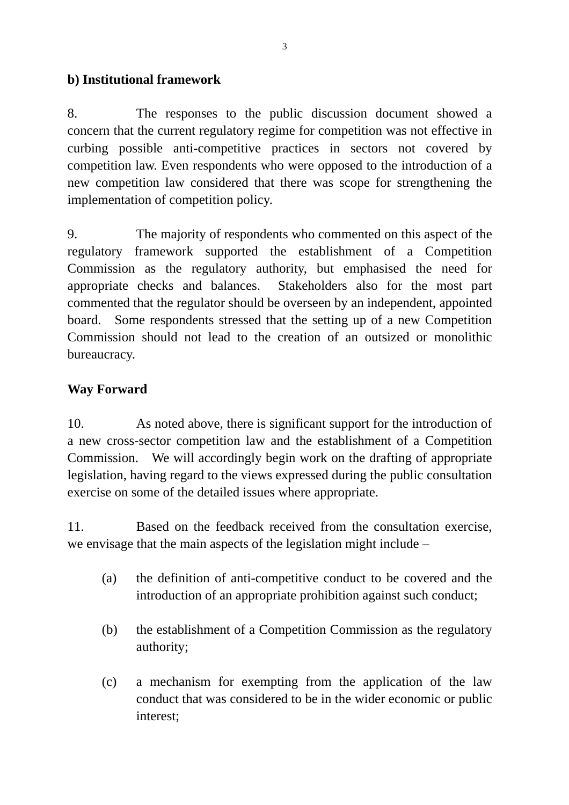# **b) Institutional framework**

8. The responses to the public discussion document showed a concern that the current regulatory regime for competition was not effective in curbing possible anti-competitive practices in sectors not covered by competition law. Even respondents who were opposed to the introduction of a new competition law considered that there was scope for strengthening the implementation of competition policy.

9. The majority of respondents who commented on this aspect of the regulatory framework supported the establishment of a Competition Commission as the regulatory authority, but emphasised the need for appropriate checks and balances. Stakeholders also for the most part commented that the regulator should be overseen by an independent, appointed board. Some respondents stressed that the setting up of a new Competition Commission should not lead to the creation of an outsized or monolithic bureaucracy.

# **Way Forward**

10. As noted above, there is significant support for the introduction of a new cross-sector competition law and the establishment of a Competition Commission. We will accordingly begin work on the drafting of appropriate legislation, having regard to the views expressed during the public consultation exercise on some of the detailed issues where appropriate.

11. Based on the feedback received from the consultation exercise, we envisage that the main aspects of the legislation might include –

- (a) the definition of anti-competitive conduct to be covered and the introduction of an appropriate prohibition against such conduct;
- (b) the establishment of a Competition Commission as the regulatory authority;
- (c) a mechanism for exempting from the application of the law conduct that was considered to be in the wider economic or public interest;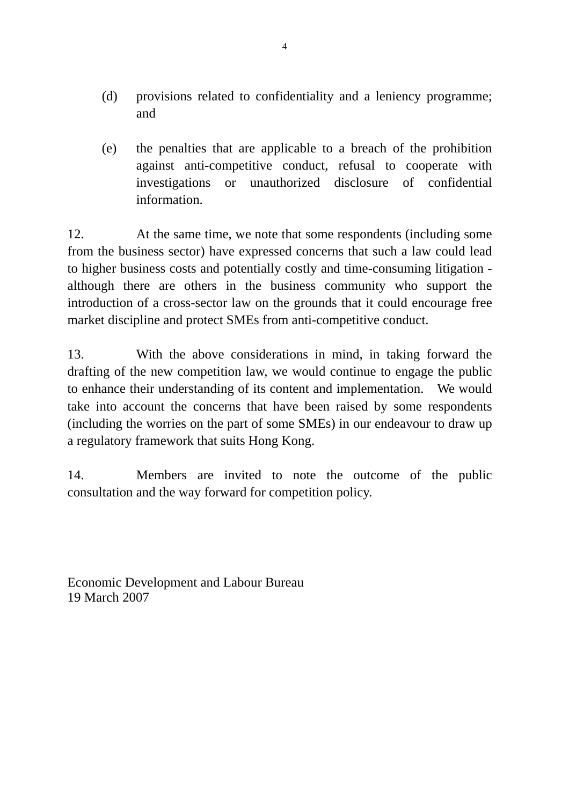- (d) provisions related to confidentiality and a leniency programme; and
- (e) the penalties that are applicable to a breach of the prohibition against anti-competitive conduct, refusal to cooperate with investigations or unauthorized disclosure of confidential information.

12. At the same time, we note that some respondents (including some from the business sector) have expressed concerns that such a law could lead to higher business costs and potentially costly and time-consuming litigation although there are others in the business community who support the introduction of a cross-sector law on the grounds that it could encourage free market discipline and protect SMEs from anti-competitive conduct.

13. With the above considerations in mind, in taking forward the drafting of the new competition law, we would continue to engage the public to enhance their understanding of its content and implementation. We would take into account the concerns that have been raised by some respondents (including the worries on the part of some SMEs) in our endeavour to draw up a regulatory framework that suits Hong Kong.

14. Members are invited to note the outcome of the public consultation and the way forward for competition policy.

Economic Development and Labour Bureau 19 March 2007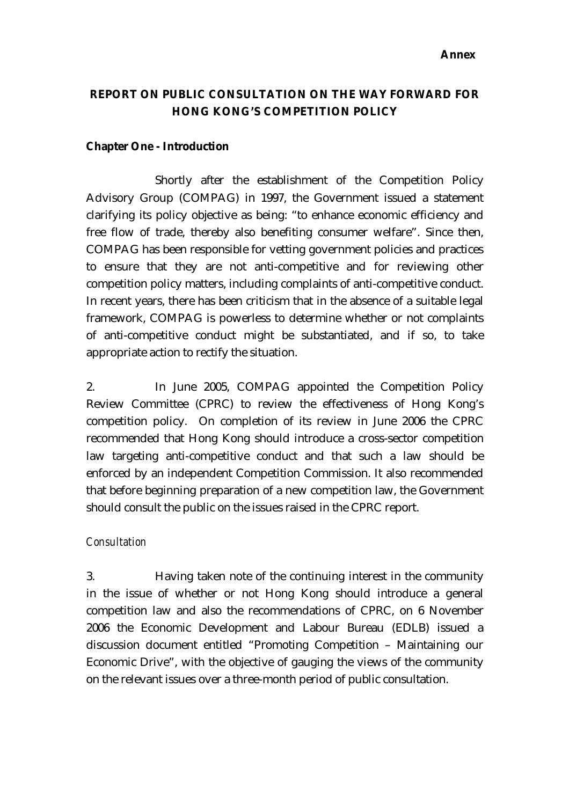#### **Annex**

## **REPORT ON PUBLIC CONSULTATION ON THE WAY FORWARD FOR HONG KONG'S COMPETITION POLICY**

#### **Chapter One - Introduction**

Shortly after the establishment of the Competition Policy Advisory Group (COMPAG) in 1997, the Government issued a statement clarifying its policy objective as being: "to enhance economic efficiency and free flow of trade, thereby also benefiting consumer welfare". Since then, COMPAG has been responsible for vetting government policies and practices to ensure that they are not anti-competitive and for reviewing other competition policy matters, including complaints of anti-competitive conduct. In recent years, there has been criticism that in the absence of a suitable legal framework, COMPAG is powerless to determine whether or not complaints of anti-competitive conduct might be substantiated, and if so, to take appropriate action to rectify the situation.

2. In June 2005, COMPAG appointed the Competition Policy Review Committee (CPRC) to review the effectiveness of Hong Kong's competition policy. On completion of its review in June 2006 the CPRC recommended that Hong Kong should introduce a cross-sector competition law targeting anti-competitive conduct and that such a law should be enforced by an independent Competition Commission. It also recommended that before beginning preparation of a new competition law, the Government should consult the public on the issues raised in the CPRC report.

#### *Consultation*

3. Having taken note of the continuing interest in the community in the issue of whether or not Hong Kong should introduce a general competition law and also the recommendations of CPRC, on 6 November 2006 the Economic Development and Labour Bureau (EDLB) issued a discussion document entitled "Promoting Competition – Maintaining our Economic Drive", with the objective of gauging the views of the community on the relevant issues over a three-month period of public consultation.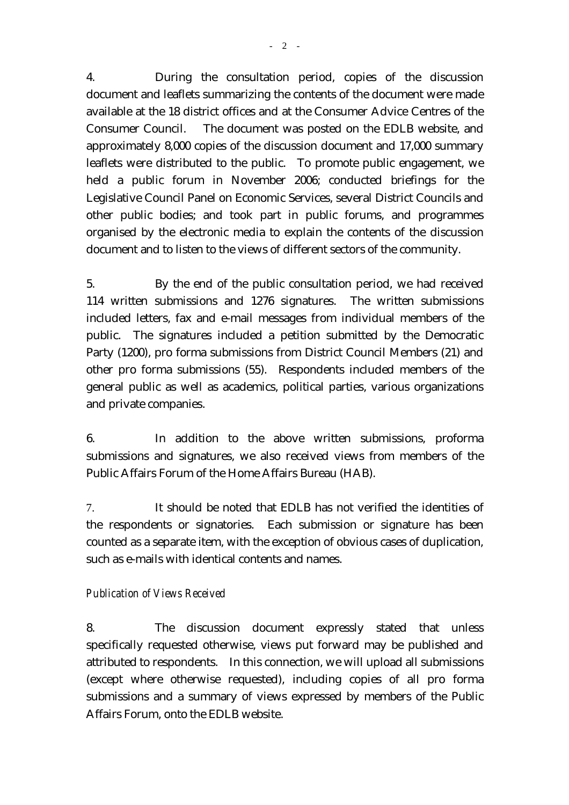4. During the consultation period, copies of the discussion document and leaflets summarizing the contents of the document were made available at the 18 district offices and at the Consumer Advice Centres of the Consumer Council. The document was posted on the EDLB website, and approximately 8,000 copies of the discussion document and 17,000 summary leaflets were distributed to the public. To promote public engagement, we held a public forum in November 2006; conducted briefings for the Legislative Council Panel on Economic Services, several District Councils and other public bodies; and took part in public forums, and programmes organised by the electronic media to explain the contents of the discussion document and to listen to the views of different sectors of the community.

5. By the end of the public consultation period, we had received 114 written submissions and 1276 signatures. The written submissions included letters, fax and e-mail messages from individual members of the public. The signatures included a petition submitted by the Democratic Party (1200), pro forma submissions from District Council Members (21) and other pro forma submissions (55). Respondents included members of the general public as well as academics, political parties, various organizations and private companies.

6. In addition to the above written submissions, proforma submissions and signatures, we also received views from members of the Public Affairs Forum of the Home Affairs Bureau (HAB).

7. It should be noted that EDLB has not verified the identities of the respondents or signatories. Each submission or signature has been counted as a separate item, with the exception of obvious cases of duplication, such as e-mails with identical contents and names.

### *Publication of Views Received*

8. The discussion document expressly stated that unless specifically requested otherwise, views put forward may be published and attributed to respondents. In this connection, we will upload all submissions (except where otherwise requested), including copies of all pro forma submissions and a summary of views expressed by members of the Public Affairs Forum, onto the EDLB website.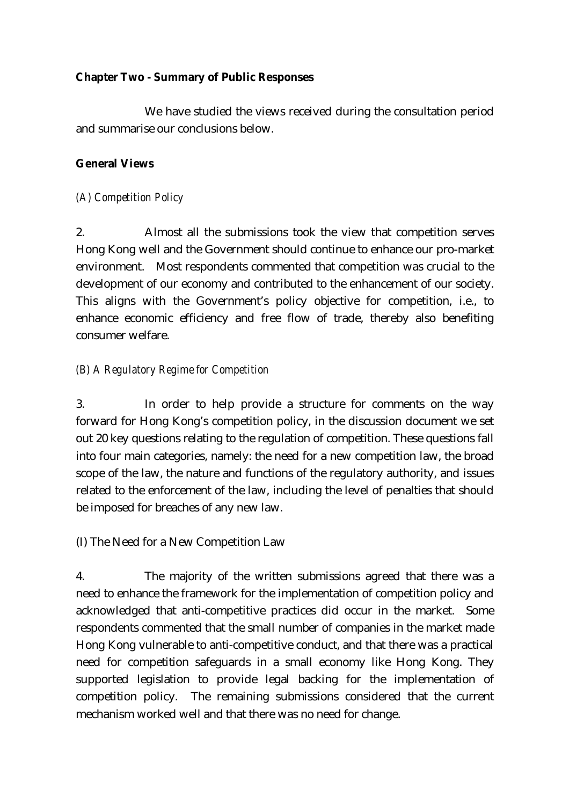#### **Chapter Two - Summary of Public Responses**

 We have studied the views received during the consultation period and summarise our conclusions below.

#### **General Views**

*(A) Competition Policy* 

2. Almost all the submissions took the view that competition serves Hong Kong well and the Government should continue to enhance our pro-market environment. Most respondents commented that competition was crucial to the development of our economy and contributed to the enhancement of our society. This aligns with the Government's policy objective for competition, i.e., to enhance economic efficiency and free flow of trade, thereby also benefiting consumer welfare.

### *(B) A Regulatory Regime for Competition*

3. In order to help provide a structure for comments on the way forward for Hong Kong's competition policy, in the discussion document we set out 20 key questions relating to the regulation of competition. These questions fall into four main categories, namely: the need for a new competition law, the broad scope of the law, the nature and functions of the regulatory authority, and issues related to the enforcement of the law, including the level of penalties that should be imposed for breaches of any new law.

(I) The Need for a New Competition Law

4. The majority of the written submissions agreed that there was a need to enhance the framework for the implementation of competition policy and acknowledged that anti-competitive practices did occur in the market. Some respondents commented that the small number of companies in the market made Hong Kong vulnerable to anti-competitive conduct, and that there was a practical need for competition safeguards in a small economy like Hong Kong. They supported legislation to provide legal backing for the implementation of competition policy. The remaining submissions considered that the current mechanism worked well and that there was no need for change.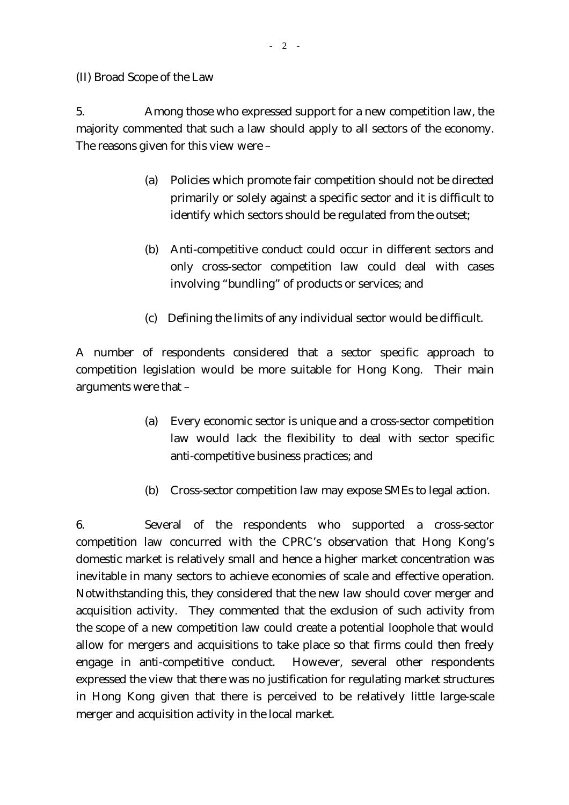(II) Broad Scope of the Law

5. Among those who expressed support for a new competition law, the majority commented that such a law should apply to all sectors of the economy. The reasons given for this view were –

- (a) Policies which promote fair competition should not be directed primarily or solely against a specific sector and it is difficult to identify which sectors should be regulated from the outset;
- (b) Anti-competitive conduct could occur in different sectors and only cross-sector competition law could deal with cases involving "bundling" of products or services; and
- (c) Defining the limits of any individual sector would be difficult.

A number of respondents considered that a sector specific approach to competition legislation would be more suitable for Hong Kong. Their main arguments were that –

- (a) Every economic sector is unique and a cross-sector competition law would lack the flexibility to deal with sector specific anti-competitive business practices; and
- (b) Cross-sector competition law may expose SMEs to legal action.

6. Several of the respondents who supported a cross-sector competition law concurred with the CPRC's observation that Hong Kong's domestic market is relatively small and hence a higher market concentration was inevitable in many sectors to achieve economies of scale and effective operation. Notwithstanding this, they considered that the new law should cover merger and acquisition activity. They commented that the exclusion of such activity from the scope of a new competition law could create a potential loophole that would allow for mergers and acquisitions to take place so that firms could then freely engage in anti-competitive conduct. However, several other respondents expressed the view that there was no justification for regulating market structures in Hong Kong given that there is perceived to be relatively little large-scale merger and acquisition activity in the local market.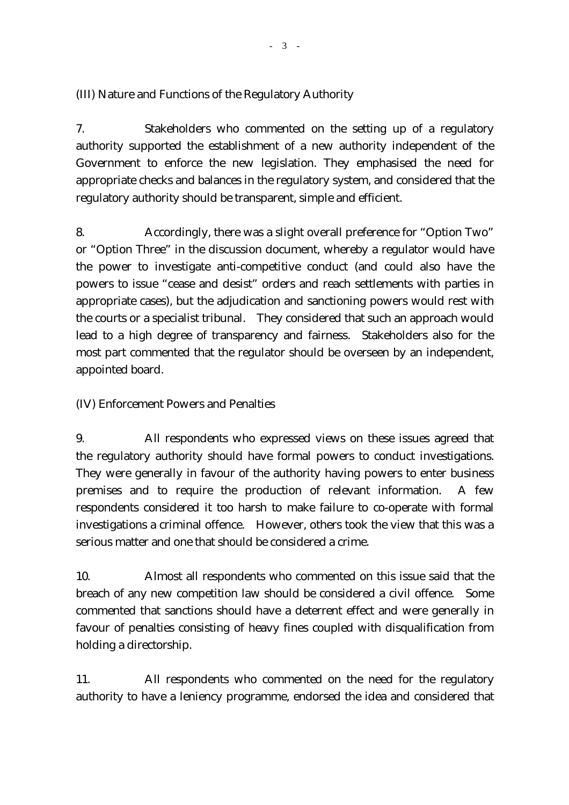## (III) Nature and Functions of the Regulatory Authority

7. Stakeholders who commented on the setting up of a regulatory authority supported the establishment of a new authority independent of the Government to enforce the new legislation. They emphasised the need for appropriate checks and balances in the regulatory system, and considered that the regulatory authority should be transparent, simple and efficient.

8. Accordingly, there was a slight overall preference for "Option Two" or "Option Three" in the discussion document, whereby a regulator would have the power to investigate anti-competitive conduct (and could also have the powers to issue "cease and desist" orders and reach settlements with parties in appropriate cases), but the adjudication and sanctioning powers would rest with the courts or a specialist tribunal. They considered that such an approach would lead to a high degree of transparency and fairness. Stakeholders also for the most part commented that the regulator should be overseen by an independent, appointed board.

### (IV) Enforcement Powers and Penalties

9. All respondents who expressed views on these issues agreed that the regulatory authority should have formal powers to conduct investigations. They were generally in favour of the authority having powers to enter business premises and to require the production of relevant information. A few respondents considered it too harsh to make failure to co-operate with formal investigations a criminal offence. However, others took the view that this was a serious matter and one that should be considered a crime.

10. Almost all respondents who commented on this issue said that the breach of any new competition law should be considered a civil offence. Some commented that sanctions should have a deterrent effect and were generally in favour of penalties consisting of heavy fines coupled with disqualification from holding a directorship.

11. All respondents who commented on the need for the regulatory authority to have a leniency programme, endorsed the idea and considered that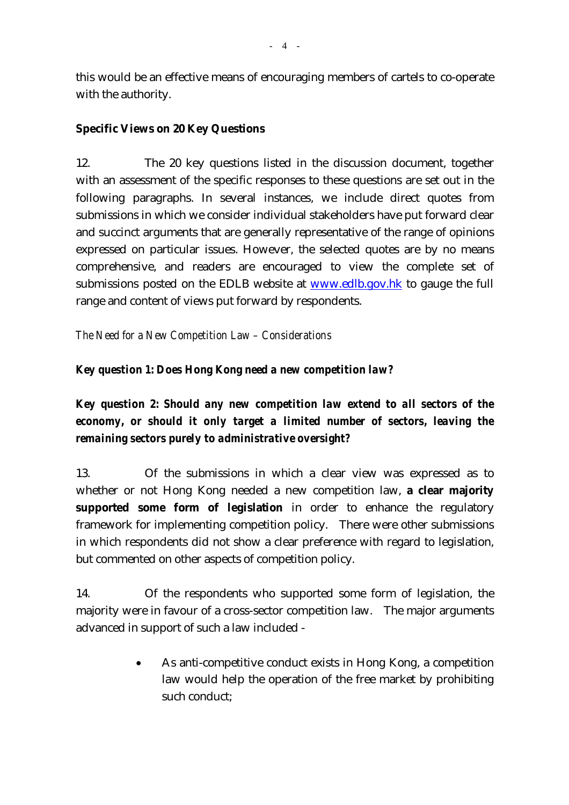this would be an effective means of encouraging members of cartels to co-operate with the authority.

#### **Specific Views on 20 Key Questions**

12. The 20 key questions listed in the discussion document, together with an assessment of the specific responses to these questions are set out in the following paragraphs. In several instances, we include direct quotes from submissions in which we consider individual stakeholders have put forward clear and succinct arguments that are generally representative of the range of opinions expressed on particular issues. However, the selected quotes are by no means comprehensive, and readers are encouraged to view the complete set of submissions posted on the EDLB website at www.edlb.gov.hk to gauge the full range and content of views put forward by respondents.

*The Need for a New Competition Law – Considerations* 

### *Key question 1: Does Hong Kong need a new competition law?*

*Key question 2: Should any new competition law extend to all sectors of the economy, or should it only target a limited number of sectors, leaving the remaining sectors purely to administrative oversight?* 

13. Of the submissions in which a clear view was expressed as to whether or not Hong Kong needed a new competition law, **a clear majority supported some form of legislation** in order to enhance the regulatory framework for implementing competition policy. There were other submissions in which respondents did not show a clear preference with regard to legislation, but commented on other aspects of competition policy.

14. Of the respondents who supported some form of legislation, the majority were in favour of a cross-sector competition law. The major arguments advanced in support of such a law included -

> • As anti-competitive conduct exists in Hong Kong, a competition law would help the operation of the free market by prohibiting such conduct;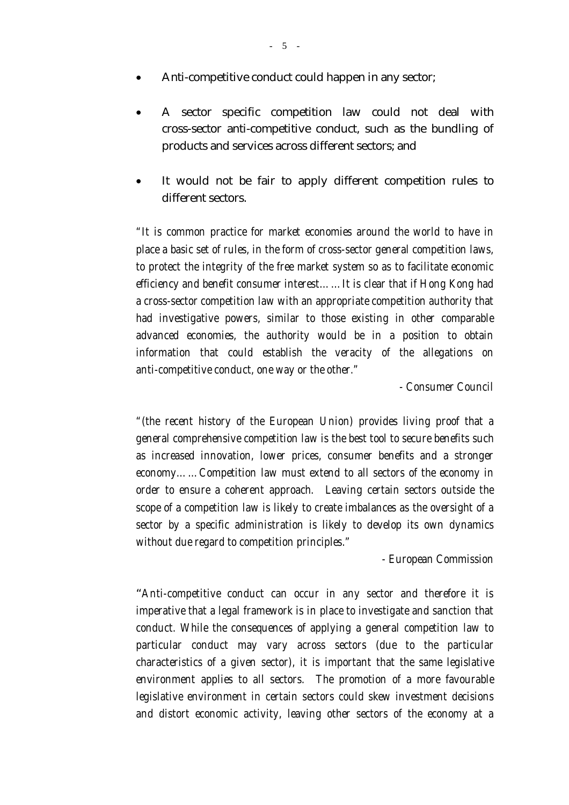- Anti-competitive conduct could happen in any sector;
- A sector specific competition law could not deal with cross-sector anti-competitive conduct, such as the bundling of products and services across different sectors; and
- It would not be fair to apply different competition rules to different sectors.

*"It is common practice for market economies around the world to have in place a basic set of rules, in the form of cross-sector general competition laws, to protect the integrity of the free market system so as to facilitate economic efficiency and benefit consumer interest……It is clear that if Hong Kong had a cross-sector competition law with an appropriate competition authority that had investigative powers, similar to those existing in other comparable advanced economies, the authority would be in a position to obtain information that could establish the veracity of the allegations on anti-competitive conduct, one way or the other."*

*- Consumer Council* 

*"(the recent history of the European Union) provides living proof that a general comprehensive competition law is the best tool to secure benefits such as increased innovation, lower prices, consumer benefits and a stronger economy……Competition law must extend to all sectors of the economy in order to ensure a coherent approach. Leaving certain sectors outside the scope of a competition law is likely to create imbalances as the oversight of a sector by a specific administration is likely to develop its own dynamics without due regard to competition principles."* 

*- European Commission* 

 "*Anti-competitive conduct can occur in any sector and therefore it is imperative that a legal framework is in place to investigate and sanction that conduct. While the consequences of applying a general competition law to particular conduct may vary across sectors (due to the particular characteristics of a given sector), it is important that the same legislative environment applies to all sectors. The promotion of a more favourable legislative environment in certain sectors could skew investment decisions and distort economic activity, leaving other sectors of the economy at a*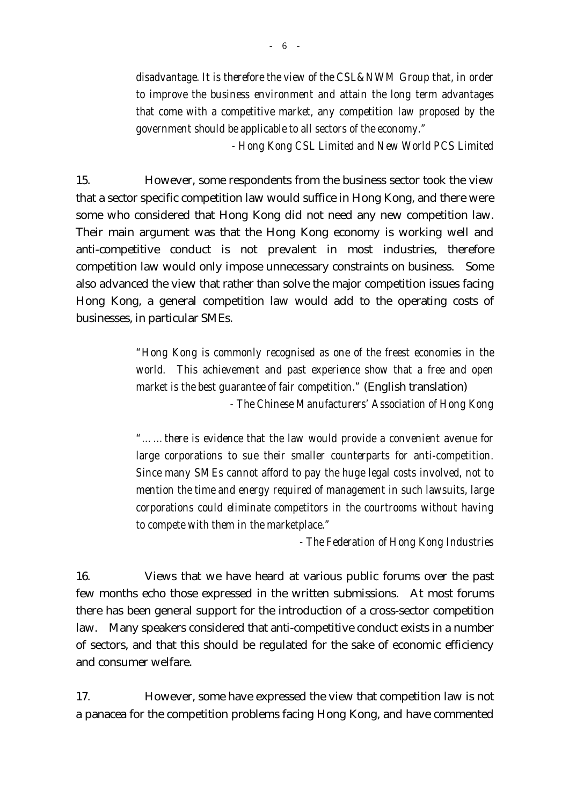*- Hong Kong CSL Limited and New World PCS Limited* 

15. However, some respondents from the business sector took the view that a sector specific competition law would suffice in Hong Kong, and there were some who considered that Hong Kong did not need any new competition law. Their main argument was that the Hong Kong economy is working well and anti-competitive conduct is not prevalent in most industries, therefore competition law would only impose unnecessary constraints on business. Some also advanced the view that rather than solve the major competition issues facing Hong Kong, a general competition law would add to the operating costs of businesses, in particular SMEs.

> *"Hong Kong is commonly recognised as one of the freest economies in the world. This achievement and past experience show that a free and open market is the best guarantee of fair competition."* (English translation) *- The Chinese Manufacturers' Association of Hong Kong*

> *"……there is evidence that the law would provide a convenient avenue for large corporations to sue their smaller counterparts for anti-competition. Since many SMEs cannot afford to pay the huge legal costs involved, not to mention the time and energy required of management in such lawsuits, large corporations could eliminate competitors in the courtrooms without having to compete with them in the marketplace."*

> > *- The Federation of Hong Kong Industries*

16. Views that we have heard at various public forums over the past few months echo those expressed in the written submissions. At most forums there has been general support for the introduction of a cross-sector competition law. Many speakers considered that anti-competitive conduct exists in a number of sectors, and that this should be regulated for the sake of economic efficiency and consumer welfare.

17. However, some have expressed the view that competition law is not a panacea for the competition problems facing Hong Kong, and have commented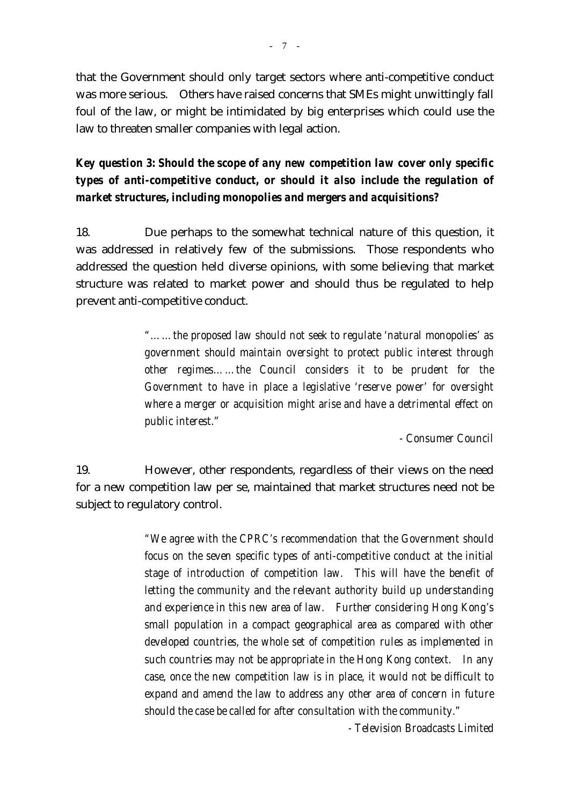that the Government should only target sectors where anti-competitive conduct was more serious. Others have raised concerns that SMEs might unwittingly fall foul of the law, or might be intimidated by big enterprises which could use the law to threaten smaller companies with legal action.

*Key question 3: Should the scope of any new competition law cover only specific types of anti-competitive conduct, or should it also include the regulation of market structures, including monopolies and mergers and acquisitions?* 

18. Due perhaps to the somewhat technical nature of this question, it was addressed in relatively few of the submissions. Those respondents who addressed the question held diverse opinions, with some believing that market structure was related to market power and should thus be regulated to help prevent anti-competitive conduct.

> *"……the proposed law should not seek to regulate 'natural monopolies' as government should maintain oversight to protect public interest through other regimes……the Council considers it to be prudent for the Government to have in place a legislative 'reserve power' for oversight where a merger or acquisition might arise and have a detrimental effect on public interest."*

> > *- Consumer Council*

19. However, other respondents, regardless of their views on the need for a new competition law per se, maintained that market structures need not be subject to regulatory control.

> *"We agree with the CPRC's recommendation that the Government should focus on the seven specific types of anti-competitive conduct at the initial stage of introduction of competition law. This will have the benefit of letting the community and the relevant authority build up understanding and experience in this new area of law. Further considering Hong Kong's small population in a compact geographical area as compared with other developed countries, the whole set of competition rules as implemented in such countries may not be appropriate in the Hong Kong context. In any case, once the new competition law is in place, it would not be difficult to expand and amend the law to address any other area of concern in future should the case be called for after consultation with the community."*

> > *- Television Broadcasts Limited*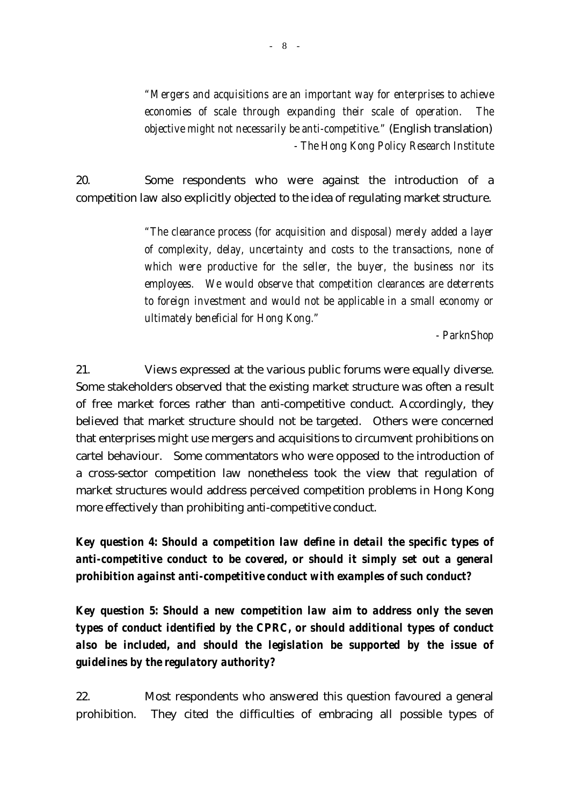*"Mergers and acquisitions are an important way for enterprises to achieve economies of scale through expanding their scale of operation. The objective might not necessarily be anti-competitive."* (English translation) *- The Hong Kong Policy Research Institute*

20. Some respondents who were against the introduction of a competition law also explicitly objected to the idea of regulating market structure.

> *"The clearance process (for acquisition and disposal) merely added a layer of complexity, delay, uncertainty and costs to the transactions, none of which were productive for the seller, the buyer, the business nor its employees. We would observe that competition clearances are deterrents to foreign investment and would not be applicable in a small economy or ultimately beneficial for Hong Kong."*

> > *- ParknShop*

21. Views expressed at the various public forums were equally diverse. Some stakeholders observed that the existing market structure was often a result of free market forces rather than anti-competitive conduct. Accordingly, they believed that market structure should not be targeted. Others were concerned that enterprises might use mergers and acquisitions to circumvent prohibitions on cartel behaviour. Some commentators who were opposed to the introduction of a cross-sector competition law nonetheless took the view that regulation of market structures would address perceived competition problems in Hong Kong more effectively than prohibiting anti-competitive conduct.

*Key question 4: Should a competition law define in detail the specific types of anti-competitive conduct to be covered, or should it simply set out a general prohibition against anti-competitive conduct with examples of such conduct?* 

*Key question 5: Should a new competition law aim to address only the seven types of conduct identified by the CPRC, or should additional types of conduct also be included, and should the legislation be supported by the issue of guidelines by the regulatory authority?* 

22. Most respondents who answered this question favoured a general prohibition. They cited the difficulties of embracing all possible types of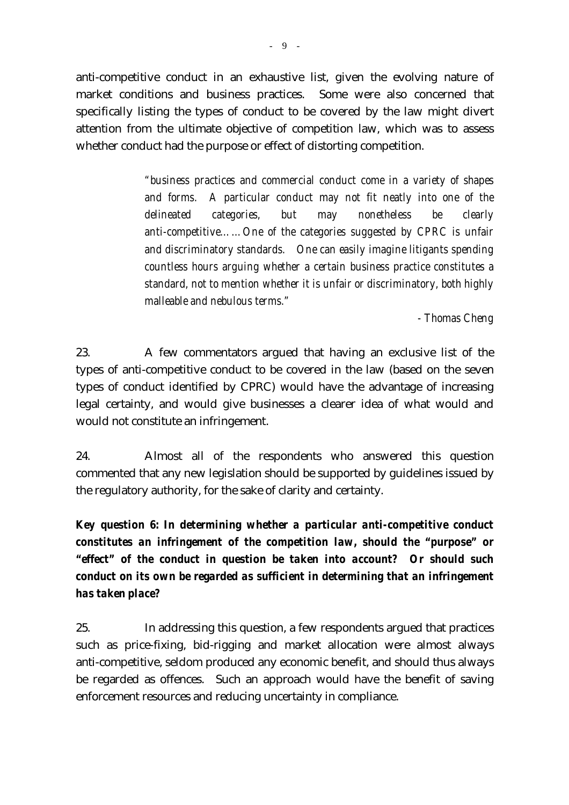anti-competitive conduct in an exhaustive list, given the evolving nature of market conditions and business practices. Some were also concerned that specifically listing the types of conduct to be covered by the law might divert attention from the ultimate objective of competition law, which was to assess whether conduct had the purpose or effect of distorting competition.

> *"business practices and commercial conduct come in a variety of shapes and forms. A particular conduct may not fit neatly into one of the delineated categories, but may nonetheless be clearly anti-competitive……One of the categories suggested by CPRC is unfair and discriminatory standards. One can easily imagine litigants spending countless hours arguing whether a certain business practice constitutes a standard, not to mention whether it is unfair or discriminatory, both highly malleable and nebulous terms."*

> > *- Thomas Cheng*

23. A few commentators argued that having an exclusive list of the types of anti-competitive conduct to be covered in the law (based on the seven types of conduct identified by CPRC) would have the advantage of increasing legal certainty, and would give businesses a clearer idea of what would and would not constitute an infringement.

24. Almost all of the respondents who answered this question commented that any new legislation should be supported by guidelines issued by the regulatory authority, for the sake of clarity and certainty.

*Key question 6: In determining whether a particular anti-competitive conduct constitutes an infringement of the competition law, should the "purpose" or "effect" of the conduct in question be taken into account? Or should such conduct on its own be regarded as sufficient in determining that an infringement has taken place?* 

25. In addressing this question, a few respondents argued that practices such as price-fixing, bid-rigging and market allocation were almost always anti-competitive, seldom produced any economic benefit, and should thus always be regarded as offences. Such an approach would have the benefit of saving enforcement resources and reducing uncertainty in compliance.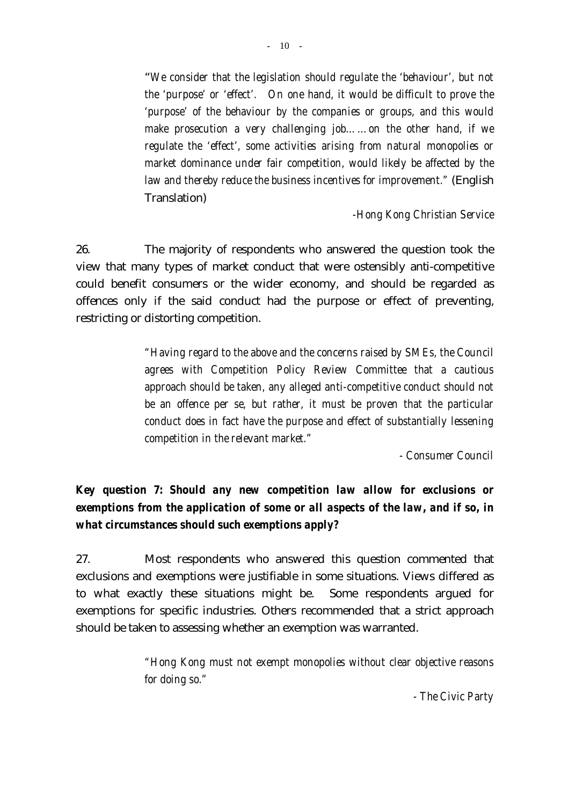"*We consider that the legislation should regulate the 'behaviour', but not the 'purpose' or 'effect'. On one hand, it would be difficult to prove the 'purpose' of the behaviour by the companies or groups, and this would make prosecution a very challenging job……on the other hand, if we regulate the 'effect', some activities arising from natural monopolies or market dominance under fair competition, would likely be affected by the law and thereby reduce the business incentives for improvement."* (English Translation)

*-Hong Kong Christian Service* 

26. The majority of respondents who answered the question took the view that many types of market conduct that were ostensibly anti-competitive could benefit consumers or the wider economy, and should be regarded as offences only if the said conduct had the purpose or effect of preventing, restricting or distorting competition.

> *"Having regard to the above and the concerns raised by SMEs, the Council agrees with Competition Policy Review Committee that a cautious approach should be taken, any alleged anti-competitive conduct should not be an offence per se, but rather, it must be proven that the particular conduct does in fact have the purpose and effect of substantially lessening competition in the relevant market."*

> > *- Consumer Council*

# *Key question 7: Should any new competition law allow for exclusions or exemptions from the application of some or all aspects of the law, and if so, in what circumstances should such exemptions apply?*

27. Most respondents who answered this question commented that exclusions and exemptions were justifiable in some situations. Views differed as to what exactly these situations might be. Some respondents argued for exemptions for specific industries. Others recommended that a strict approach should be taken to assessing whether an exemption was warranted.

> *"Hong Kong must not exempt monopolies without clear objective reasons for doing so."*

> > *- The Civic Party*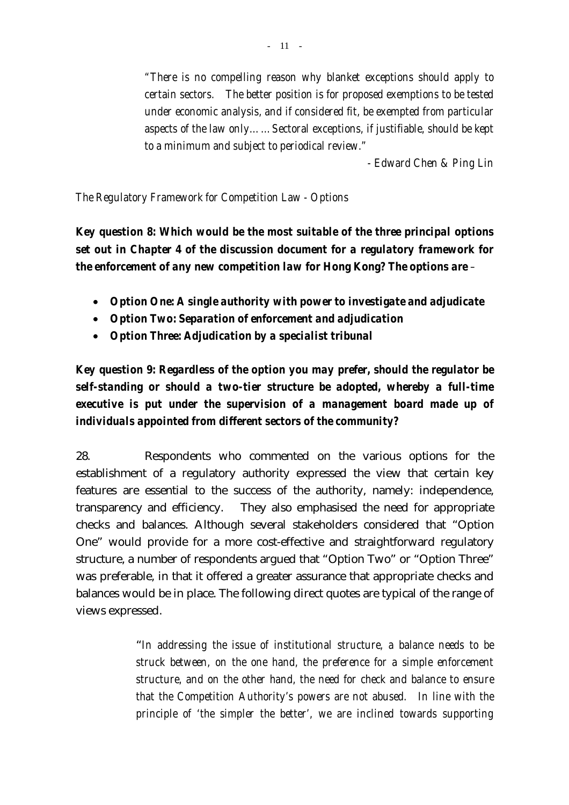*"There is no compelling reason why blanket exceptions should apply to certain sectors. The better position is for proposed exemptions to be tested under economic analysis, and if considered fit, be exempted from particular aspects of the law only……Sectoral exceptions, if justifiable, should be kept to a minimum and subject to periodical review."* 

*- Edward Chen & Ping Lin* 

*The Regulatory Framework for Competition Law - Options* 

*Key question 8: Which would be the most suitable of the three principal options set out in Chapter 4 of the discussion document for a regulatory framework for the enforcement of any new competition law for Hong Kong? The options are –* 

- *Option One: A single authority with power to investigate and adjudicate*
- *Option Two: Separation of enforcement and adjudication*
- *Option Three: Adjudication by a specialist tribunal*

*Key question 9: Regardless of the option you may prefer, should the regulator be self-standing or should a two-tier structure be adopted, whereby a full-time executive is put under the supervision of a management board made up of individuals appointed from different sectors of the community?* 

28. Respondents who commented on the various options for the establishment of a regulatory authority expressed the view that certain key features are essential to the success of the authority, namely: independence, transparency and efficiency. They also emphasised the need for appropriate checks and balances. Although several stakeholders considered that "Option One" would provide for a more cost-effective and straightforward regulatory structure, a number of respondents argued that "Option Two" or "Option Three" was preferable, in that it offered a greater assurance that appropriate checks and balances would be in place. The following direct quotes are typical of the range of views expressed.

> "*In addressing the issue of institutional structure, a balance needs to be struck between, on the one hand, the preference for a simple enforcement structure, and on the other hand, the need for check and balance to ensure that the Competition Authority's powers are not abused. In line with the principle of 'the simpler the better', we are inclined towards supporting*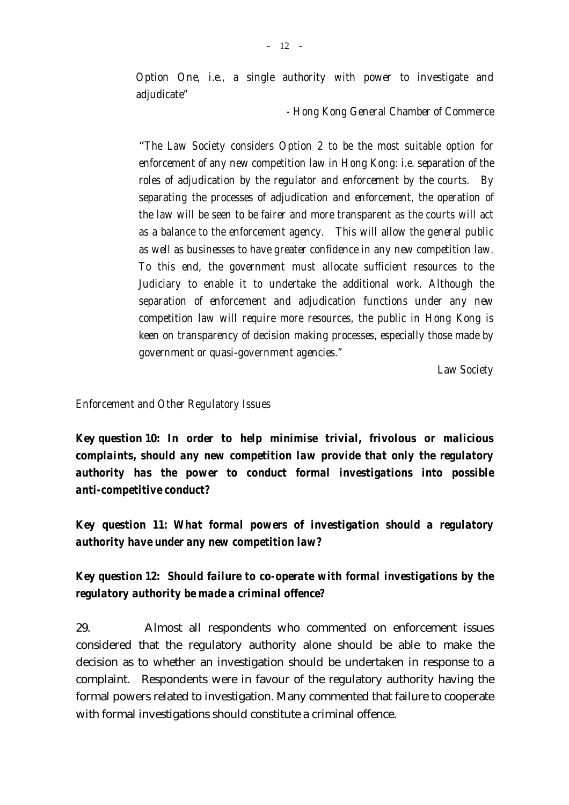*Option One, i.e., a single authority with power to investigate and adjudicate"* 

 *- Hong Kong General Chamber of Commerce* 

 "*The Law Society considers Option 2 to be the most suitable option for enforcement of any new competition law in Hong Kong: i.e. separation of the roles of adjudication by the regulator and enforcement by the courts. By separating the processes of adjudication and enforcement, the operation of the law will be seen to be fairer and more transparent as the courts will act as a balance to the enforcement agency. This will allow the general public as well as businesses to have greater confidence in any new competition law. To this end, the government must allocate sufficient resources to the Judiciary to enable it to undertake the additional work. Although the separation of enforcement and adjudication functions under any new competition law will require more resources, the public in Hong Kong is keen on transparency of decision making processes, especially those made by government or quasi-government agencies."* 

 *Law Society* 

#### *Enforcement and Other Regulatory Issues*

*Key question 10: In order to help minimise trivial, frivolous or malicious complaints, should any new competition law provide that only the regulatory authority has the power to conduct formal investigations into possible anti-competitive conduct?* 

*Key question 11: What formal powers of investigation should a regulatory authority have under any new competition law?* 

*Key question 12: Should failure to co-operate with formal investigations by the regulatory authority be made a criminal offence?* 

29. Almost all respondents who commented on enforcement issues considered that the regulatory authority alone should be able to make the decision as to whether an investigation should be undertaken in response to a complaint. Respondents were in favour of the regulatory authority having the formal powers related to investigation. Many commented that failure to cooperate with formal investigations should constitute a criminal offence.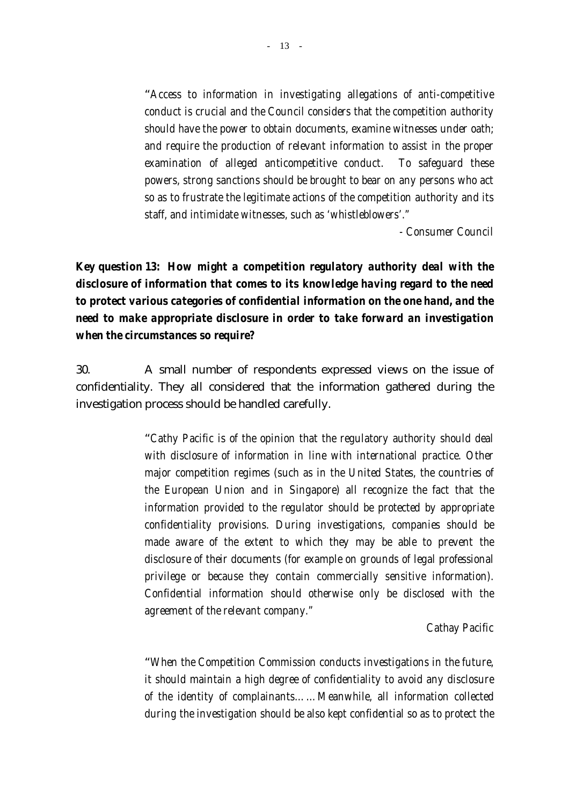"*Access to information in investigating allegations of anti-competitive conduct is crucial and the Council considers that the competition authority should have the power to obtain documents, examine witnesses under oath; and require the production of relevant information to assist in the proper examination of alleged anticompetitive conduct. To safeguard these powers, strong sanctions should be brought to bear on any persons who act so as to frustrate the legitimate actions of the competition authority and its staff, and intimidate witnesses, such as 'whistleblowers'."* 

*- Consumer Council* 

*Key question 13: How might a competition regulatory authority deal with the disclosure of information that comes to its knowledge having regard to the need to protect various categories of confidential information on the one hand, and the need to make appropriate disclosure in order to take forward an investigation when the circumstances so require?* 

30. A small number of respondents expressed views on the issue of confidentiality. They all considered that the information gathered during the investigation process should be handled carefully.

> "*Cathy Pacific is of the opinion that the regulatory authority should deal with disclosure of information in line with international practice. Other major competition regimes (such as in the United States, the countries of the European Union and in Singapore) all recognize the fact that the information provided to the regulator should be protected by appropriate confidentiality provisions. During investigations, companies should be made aware of the extent to which they may be able to prevent the disclosure of their documents (for example on grounds of legal professional privilege or because they contain commercially sensitive information). Confidential information should otherwise only be disclosed with the agreement of the relevant company."*

> > *Cathay Pacific*

"*When the Competition Commission conducts investigations in the future, it should maintain a high degree of confidentiality to avoid any disclosure of the identity of complainants……Meanwhile, all information collected during the investigation should be also kept confidential so as to protect the*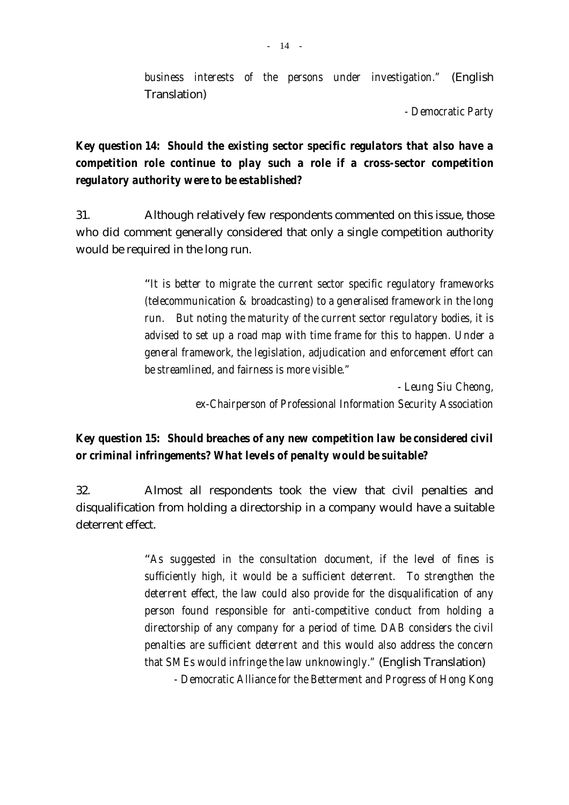*business interests of the persons under investigation."* (English Translation)

*- Democratic Party*

# *Key question 14: Should the existing sector specific regulators that also have a competition role continue to play such a role if a cross-sector competition regulatory authority were to be established?*

31. Although relatively few respondents commented on this issue, those who did comment generally considered that only a single competition authority would be required in the long run.

> "*It is better to migrate the current sector specific regulatory frameworks (telecommunication & broadcasting) to a generalised framework in the long run. But noting the maturity of the current sector regulatory bodies, it is advised to set up a road map with time frame for this to happen. Under a general framework, the legislation, adjudication and enforcement effort can be streamlined, and fairness is more visible."*

> > *- Leung Siu Cheong, ex-Chairperson of Professional Information Security Association*

# *Key question 15: Should breaches of any new competition law be considered civil or criminal infringements? What levels of penalty would be suitable?*

32. Almost all respondents took the view that civil penalties and disqualification from holding a directorship in a company would have a suitable deterrent effect.

> "*As suggested in the consultation document, if the level of fines is sufficiently high, it would be a sufficient deterrent. To strengthen the deterrent effect, the law could also provide for the disqualification of any person found responsible for anti-competitive conduct from holding a directorship of any company for a period of time. DAB considers the civil penalties are sufficient deterrent and this would also address the concern that SMEs would infringe the law unknowingly."* (English Translation) *- Democratic Alliance for the Betterment and Progress of Hong Kong*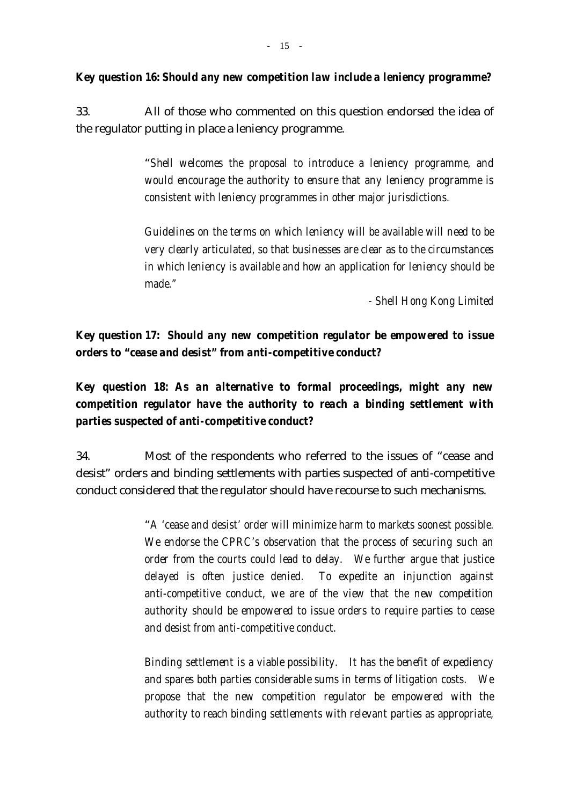33. All of those who commented on this question endorsed the idea of the regulator putting in place a leniency programme.

> "*Shell welcomes the proposal to introduce a leniency programme, and would encourage the authority to ensure that any leniency programme is consistent with leniency programmes in other major jurisdictions.*

> *Guidelines on the terms on which leniency will be available will need to be very clearly articulated, so that businesses are clear as to the circumstances in which leniency is available and how an application for leniency should be made."*

> > *- Shell Hong Kong Limited*

# *Key question 17: Should any new competition regulator be empowered to issue orders to "cease and desist" from anti-competitive conduct?*

*Key question 18: As an alternative to formal proceedings, might any new competition regulator have the authority to reach a binding settlement with parties suspected of anti-competitive conduct?* 

34. Most of the respondents who referred to the issues of "cease and desist" orders and binding settlements with parties suspected of anti-competitive conduct considered that the regulator should have recourse to such mechanisms.

> "*A 'cease and desist' order will minimize harm to markets soonest possible. We endorse the CPRC's observation that the process of securing such an order from the courts could lead to delay. We further argue that justice delayed is often justice denied. To expedite an injunction against anti-competitive conduct, we are of the view that the new competition authority should be empowered to issue orders to require parties to cease and desist from anti-competitive conduct.*

> *Binding settlement is a viable possibility. It has the benefit of expediency and spares both parties considerable sums in terms of litigation costs. We propose that the new competition regulator be empowered with the authority to reach binding settlements with relevant parties as appropriate,*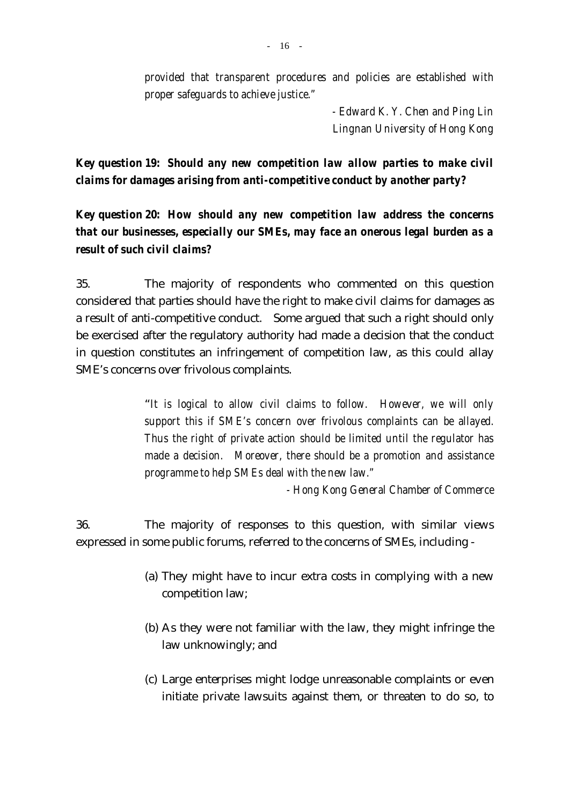*provided that transparent procedures and policies are established with proper safeguards to achieve justice."* 

> *- Edward K. Y. Chen and Ping Lin Lingnan University of Hong Kong*

*Key question 19: Should any new competition law allow parties to make civil claims for damages arising from anti-competitive conduct by another party?* 

*Key question 20: How should any new competition law address the concerns that our businesses, especially our SMEs, may face an onerous legal burden as a result of such civil claims?* 

35. The majority of respondents who commented on this question considered that parties should have the right to make civil claims for damages as a result of anti-competitive conduct. Some argued that such a right should only be exercised after the regulatory authority had made a decision that the conduct in question constitutes an infringement of competition law, as this could allay SME's concerns over frivolous complaints.

> "*It is logical to allow civil claims to follow. However, we will only support this if SME's concern over frivolous complaints can be allayed. Thus the right of private action should be limited until the regulator has made a decision. Moreover, there should be a promotion and assistance programme to help SMEs deal with the new law."*

> > *- Hong Kong General Chamber of Commerce*

36. The majority of responses to this question, with similar views expressed in some public forums, referred to the concerns of SMEs, including -

- (a) They might have to incur extra costs in complying with a new competition law;
- (b) As they were not familiar with the law, they might infringe the law unknowingly; and
- (c) Large enterprises might lodge unreasonable complaints or even initiate private lawsuits against them, or threaten to do so, to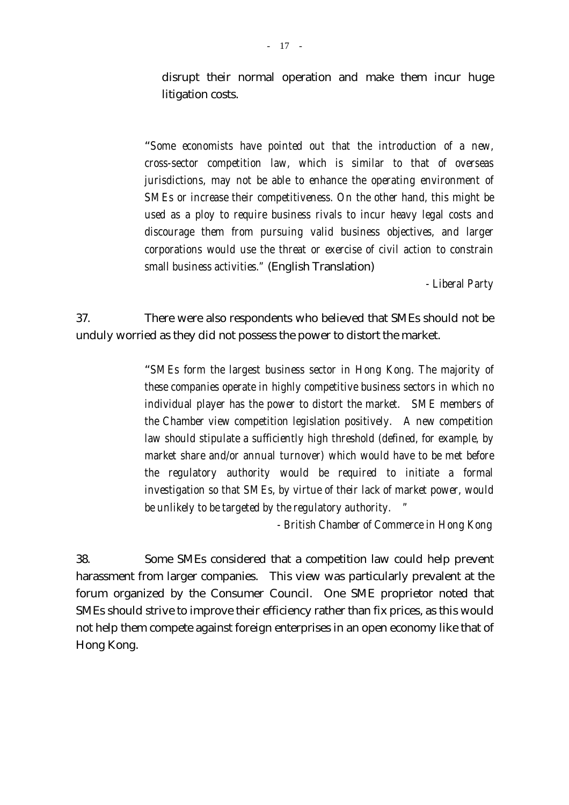disrupt their normal operation and make them incur huge litigation costs.

"*Some economists have pointed out that the introduction of a new, cross-sector competition law, which is similar to that of overseas jurisdictions, may not be able to enhance the operating environment of SMEs or increase their competitiveness. On the other hand, this might be used as a ploy to require business rivals to incur heavy legal costs and discourage them from pursuing valid business objectives, and larger corporations would use the threat or exercise of civil action to constrain small business activities."* (English Translation)

*- Liberal Party*

37. There were also respondents who believed that SMEs should not be unduly worried as they did not possess the power to distort the market.

> "*SMEs form the largest business sector in Hong Kong. The majority of these companies operate in highly competitive business sectors in which no individual player has the power to distort the market. SME members of the Chamber view competition legislation positively. A new competition law should stipulate a sufficiently high threshold (defined, for example, by market share and/or annual turnover) which would have to be met before the regulatory authority would be required to initiate a formal investigation so that SMEs, by virtue of their lack of market power, would be unlikely to be targeted by the regulatory authority. "*

> > *- British Chamber of Commerce in Hong Kong*

38. Some SMEs considered that a competition law could help prevent harassment from larger companies. This view was particularly prevalent at the forum organized by the Consumer Council. One SME proprietor noted that SMEs should strive to improve their efficiency rather than fix prices, as this would not help them compete against foreign enterprises in an open economy like that of Hong Kong.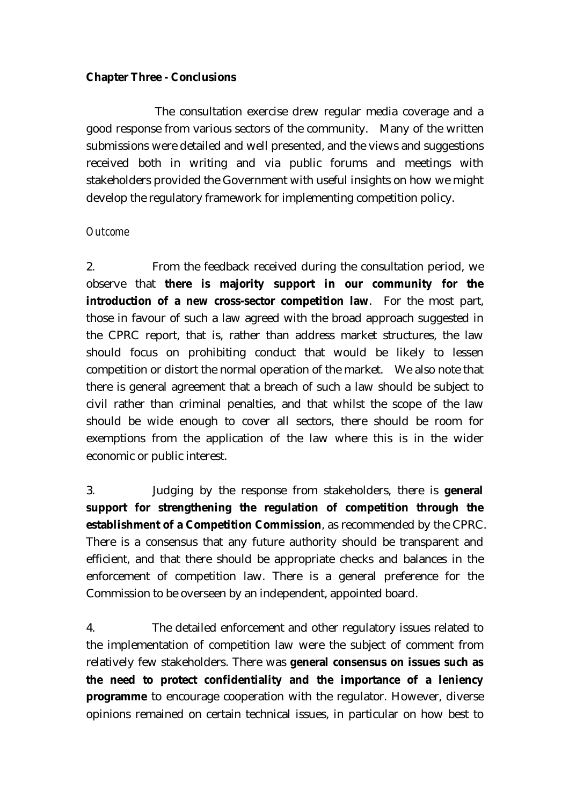#### **Chapter Three - Conclusions**

 The consultation exercise drew regular media coverage and a good response from various sectors of the community. Many of the written submissions were detailed and well presented, and the views and suggestions received both in writing and via public forums and meetings with stakeholders provided the Government with useful insights on how we might develop the regulatory framework for implementing competition policy.

#### *Outcome*

2. From the feedback received during the consultation period, we observe that **there is majority support in our community for the introduction of a new cross-sector competition law**. For the most part, those in favour of such a law agreed with the broad approach suggested in the CPRC report, that is, rather than address market structures, the law should focus on prohibiting conduct that would be likely to lessen competition or distort the normal operation of the market. We also note that there is general agreement that a breach of such a law should be subject to civil rather than criminal penalties, and that whilst the scope of the law should be wide enough to cover all sectors, there should be room for exemptions from the application of the law where this is in the wider economic or public interest.

3. Judging by the response from stakeholders, there is **general support for strengthening the regulation of competition through the establishment of a Competition Commission**, as recommended by the CPRC. There is a consensus that any future authority should be transparent and efficient, and that there should be appropriate checks and balances in the enforcement of competition law. There is a general preference for the Commission to be overseen by an independent, appointed board.

4. The detailed enforcement and other regulatory issues related to the implementation of competition law were the subject of comment from relatively few stakeholders. There was **general consensus on issues such as the need to protect confidentiality and the importance of a leniency programme** to encourage cooperation with the regulator. However, diverse opinions remained on certain technical issues, in particular on how best to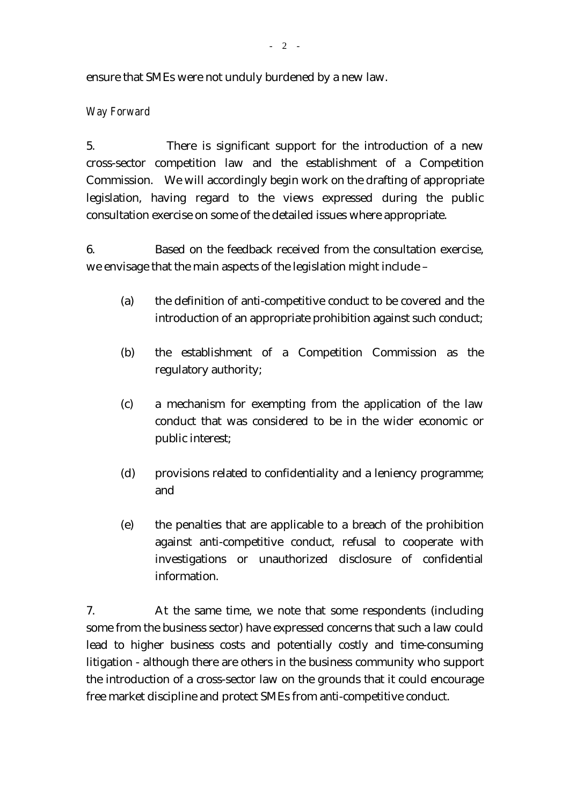ensure that SMEs were not unduly burdened by a new law.

### *Way Forward*

5. There is significant support for the introduction of a new cross-sector competition law and the establishment of a Competition Commission. We will accordingly begin work on the drafting of appropriate legislation, having regard to the views expressed during the public consultation exercise on some of the detailed issues where appropriate.

6. Based on the feedback received from the consultation exercise, we envisage that the main aspects of the legislation might include –

- (a) the definition of anti-competitive conduct to be covered and the introduction of an appropriate prohibition against such conduct;
- (b) the establishment of a Competition Commission as the regulatory authority;
- (c) a mechanism for exempting from the application of the law conduct that was considered to be in the wider economic or public interest;
- (d) provisions related to confidentiality and a leniency programme; and
- (e) the penalties that are applicable to a breach of the prohibition against anti-competitive conduct, refusal to cooperate with investigations or unauthorized disclosure of confidential information.

7. At the same time, we note that some respondents (including some from the business sector) have expressed concerns that such a law could lead to higher business costs and potentially costly and time-consuming litigation - although there are others in the business community who support the introduction of a cross-sector law on the grounds that it could encourage free market discipline and protect SMEs from anti-competitive conduct.